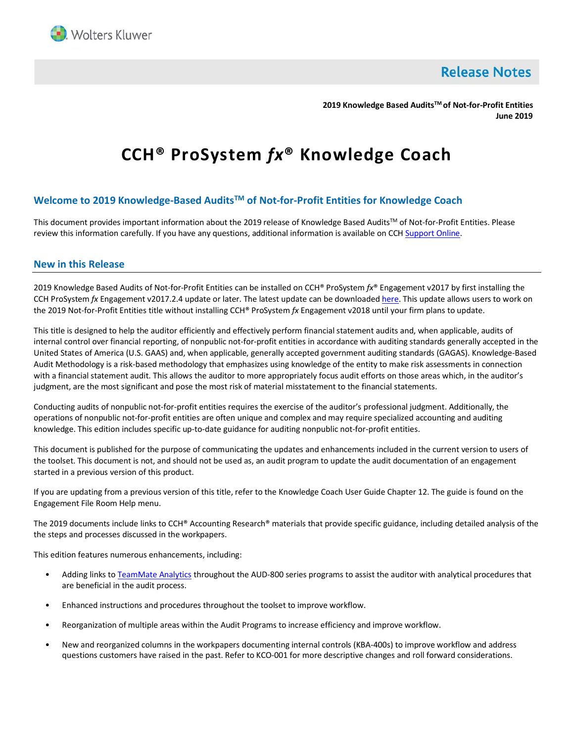

**Release Notes** 

**2019 Knowledge Based AuditsTM of Not-for-Profit Entities June 2019**

# **CCH® ProSystem** *fx***® Knowledge Coach**

# **Welcome to 2019 Knowledge-Based AuditsTM of Not-for-Profit Entities for Knowledge Coach**

This document provides important information about the 2019 release of Knowledge Based Audits™ of Not-for-Profit Entities. Please review this information carefully. If you have any questions, additional information is available on CC[H Support Online.](http://support.cch.com/productsupport/)

# **New in this Release**

2019 Knowledge Based Audits of Not-for-Profit Entities can be installed on CCH® ProSystem *fx*® Engagement v2017 by first installing the CCH ProSystem *fx* Engagement v2017.2.4 update or later. The latest update can be downloade[d here.](https://support.cch.com/updates/Engagement/release2017/release2017.aspx) This update allows users to work on the 2019 Not-for-Profit Entities title without installing CCH® ProSystem *fx* Engagement v2018 until your firm plans to update.

This title is designed to help the auditor efficiently and effectively perform financial statement audits and, when applicable, audits of internal control over financial reporting, of nonpublic not-for-profit entities in accordance with auditing standards generally accepted in the United States of America (U.S. GAAS) and, when applicable, generally accepted government auditing standards (GAGAS). Knowledge-Based Audit Methodology is a risk-based methodology that emphasizes using knowledge of the entity to make risk assessments in connection with a financial statement audit. This allows the auditor to more appropriately focus audit efforts on those areas which, in the auditor's judgment, are the most significant and pose the most risk of material misstatement to the financial statements.

Conducting audits of nonpublic not-for-profit entities requires the exercise of the auditor's professional judgment. Additionally, the operations of nonpublic not-for-profit entities are often unique and complex and may require specialized accounting and auditing knowledge. This edition includes specific up-to-date guidance for auditing nonpublic not-for-profit entities.

This document is published for the purpose of communicating the updates and enhancements included in the current version to users of the toolset. This document is not, and should not be used as, an audit program to update the audit documentation of an engagement started in a previous version of this product.

If you are updating from a previous version of this title, refer to the Knowledge Coach User Guide Chapter 12. The guide is found on the Engagement File Room Help menu.

The 2019 documents include links to CCH® Accounting Research® materials that provide specific guidance, including detailed analysis of the the steps and processes discussed in the workpapers.

This edition features numerous enhancements, including:

- Adding links t[o TeamMate Analytics](http://engagetax.wolterskluwer.com/l/339101/2018-03-29/2w349) throughout the AUD-800 series programs to assist the auditor with analytical procedures that are beneficial in the audit process.
- Enhanced instructions and procedures throughout the toolset to improve workflow.
- Reorganization of multiple areas within the Audit Programs to increase efficiency and improve workflow.
- New and reorganized columns in the workpapers documenting internal controls (KBA-400s) to improve workflow and address questions customers have raised in the past. Refer to KCO-001 for more descriptive changes and roll forward considerations.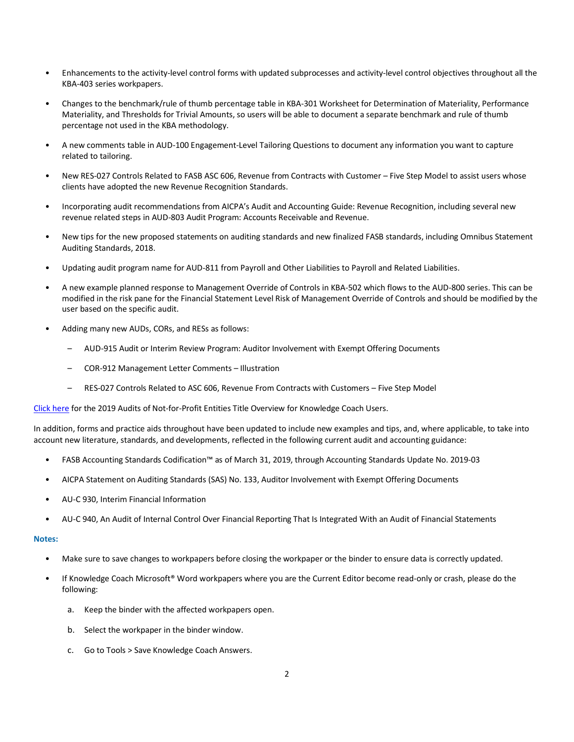- Enhancements to the activity-level control forms with updated subprocesses and activity-level control objectives throughout all the KBA-403 series workpapers.
- Changes to the benchmark/rule of thumb percentage table in KBA-301 Worksheet for Determination of Materiality, Performance Materiality, and Thresholds for Trivial Amounts, so users will be able to document a separate benchmark and rule of thumb percentage not used in the KBA methodology.
- A new comments table in AUD-100 Engagement-Level Tailoring Questions to document any information you want to capture related to tailoring.
- New RES-027 Controls Related to FASB ASC 606, Revenue from Contracts with Customer Five Step Model to assist users whose clients have adopted the new Revenue Recognition Standards.
- Incorporating audit recommendations from AICPA's Audit and Accounting Guide: Revenue Recognition, including several new revenue related steps in AUD-803 Audit Program: Accounts Receivable and Revenue.
- New tips for the new proposed statements on auditing standards and new finalized FASB standards, including Omnibus Statement Auditing Standards, 2018.
- Updating audit program name for AUD-811 from Payroll and Other Liabilities to Payroll and Related Liabilities.
- A new example planned response to Management Override of Controls in KBA-502 which flows to the AUD-800 series. This can be modified in the risk pane for the Financial Statement Level Risk of Management Override of Controls and should be modified by the user based on the specific audit.
- Adding many new AUDs, CORs, and RESs as follows:
	- AUD-915 Audit or Interim Review Program: Auditor Involvement with Exempt Offering Documents
	- COR-912 Management Letter Comments Illustration
	- RES-027 Controls Related to ASC 606, Revenue From Contracts with Customers Five Step Model

[Click here](http://support.cch.com/updates/KnowledgeCoach/pdf/guides_tab/2019%20Not-For-Profit%20Entities%20Audits%20Title%20Overview%20for%20Knowledge%20Coach%20Users.pdf) for the 2019 Audits of Not-for-Profit Entities Title Overview for Knowledge Coach Users.

In addition, forms and practice aids throughout have been updated to include new examples and tips, and, where applicable, to take into account new literature, standards, and developments, reflected in the following current audit and accounting guidance:

- FASB Accounting Standards Codification™ as of March 31, 2019, through Accounting Standards Update No. 2019-03
- AICPA Statement on Auditing Standards (SAS) No. 133, Auditor Involvement with Exempt Offering Documents
- AU-C 930, Interim Financial Information
- AU-C 940, An Audit of Internal Control Over Financial Reporting That Is Integrated With an Audit of Financial Statements

#### **Notes:**

- Make sure to save changes to workpapers before closing the workpaper or the binder to ensure data is correctly updated.
- If Knowledge Coach Microsoft® Word workpapers where you are the Current Editor become read-only or crash, please do the following:
	- a. Keep the binder with the affected workpapers open.
	- b. Select the workpaper in the binder window.
	- c. Go to Tools > Save Knowledge Coach Answers.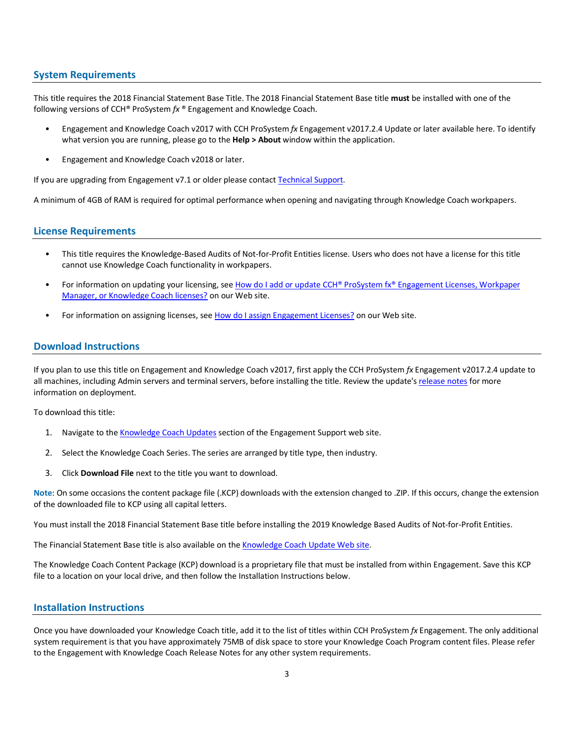# **System Requirements**

This title requires the 2018 Financial Statement Base Title. The 2018 Financial Statement Base title **must** be installed with one of the following versions of CCH® ProSystem *fx* ® Engagement and Knowledge Coach.

- Engagement and Knowledge Coach v2017 with CCH ProSystem *fx* Engagement v2017.2.4 Update or later available [here.](https://support.cch.com/updates/Engagement/release2017/release2017.aspx) To identify what version you are running, please go to the **Help > About** window within the application.
- Engagement and Knowledge Coach v2018 or later.

If you are upgrading from Engagement v7.1 or older please contac[t Technical Support.](https://support.cch.com/contact)

A minimum of 4GB of RAM is required for optimal performance when opening and navigating through Knowledge Coach workpapers.

# **License Requirements**

- This title requires the Knowledge-Based Audits of Not-for-Profit Entities license. Users who does not have a license for this title cannot use Knowledge Coach functionality in workpapers.
- For information on updating your licensing, see How do I add or update CCH® ProSystem fx® [Engagement Licenses, Workpaper](https://support.cch.com/kb/solution.aspx/sw3937)  [Manager, or Knowledge Coach licenses?](https://support.cch.com/kb/solution.aspx/sw3937) on our Web site.
- For information on assigning licenses, see [How do I assign Engagement Licenses?](https://support.cch.com/kb/solution.aspx/sw3943) on our Web site.

# **Download Instructions**

If you plan to use this title on Engagement and Knowledge Coach v2017, first apply the CCH ProSystem *fx* Engagement v2017.2.4 update to all machines, including Admin servers and terminal servers, before installing the title. Review the update's [release notes](https://d2iceilwdglxpz.cloudfront.net/release_notes/CCH%20ProSystem%20fx%20Engagement%20Release%20Notes%202017.2.4.pdf) for more information on deployment.

To download this title:

- 1. Navigate to the [Knowledge Coach Updates](http://support.cch.com/updates/KnowledgeCoach) section of the Engagement Support web site.
- 2. Select the Knowledge Coach Series. The series are arranged by title type, then industry.
- 3. Click **Download File** next to the title you want to download.

**Note**: On some occasions the content package file (.KCP) downloads with the extension changed to .ZIP. If this occurs, change the extension of the downloaded file to KCP using all capital letters.

You must install the 2018 Financial Statement Base title before installing the 2019 Knowledge Based Audits of Not-for-Profit Entities.

The Financial Statement Base title is also available on th[e Knowledge Coach Update Web](http://support.cch.com/updates/KnowledgeCoach) site.

The Knowledge Coach Content Package (KCP) download is a proprietary file that must be installed from within Engagement. Save this KCP file to a location on your local drive, and then follow the Installation Instructions below.

# **Installation Instructions**

Once you have downloaded your Knowledge Coach title, add it to the list of titles within CCH ProSystem *fx* Engagement. The only additional system requirement is that you have approximately 75MB of disk space to store your Knowledge Coach Program content files. Please refer to the Engagement with Knowledge Coach Release Notes for any other system requirements.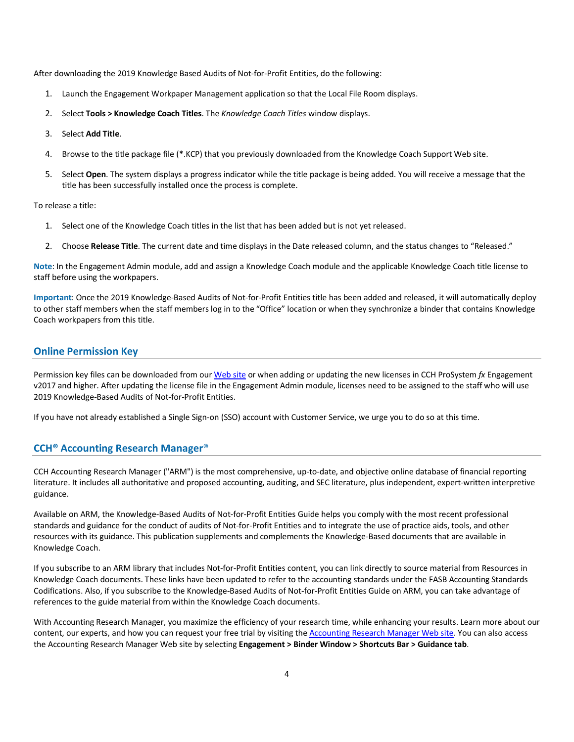After downloading the 2019 Knowledge Based Audits of Not-for-Profit Entities, do the following:

- 1. Launch the Engagement Workpaper Management application so that the Local File Room displays.
- 2. Select **Tools > Knowledge Coach Titles**. The *Knowledge Coach Titles* window displays.
- 3. Select **Add Title**.
- 4. Browse to the title package file (\*.KCP) that you previously downloaded from the Knowledge Coach Support Web site.
- 5. Select **Open**. The system displays a progress indicator while the title package is being added. You will receive a message that the title has been successfully installed once the process is complete.

To release a title:

- 1. Select one of the Knowledge Coach titles in the list that has been added but is not yet released.
- 2. Choose **Release Title**. The current date and time displays in the Date released column, and the status changes to "Released."

**Note**: In the Engagement Admin module, add and assign a Knowledge Coach module and the applicable Knowledge Coach title license to staff before using the workpapers.

**Important**: Once the 2019 Knowledge-Based Audits of Not-for-Profit Entities title has been added and released, it will automatically deploy to other staff members when the staff members log in to the "Office" location or when they synchronize a binder that contains Knowledge Coach workpapers from this title.

## **Online Permission Key**

Permission key files can be downloaded from ou[r Web](https://prosystemfxsupport.tax.cchgroup.com/permkey/download.aspx) site or when adding or updating the new licenses in CCH ProSystem *fx* Engagement v2017 and higher. After updating the license file in the Engagement Admin module, licenses need to be assigned to the staff who will use 2019 Knowledge-Based Audits of Not-for-Profit Entities.

If you have not already established a Single Sign-on (SSO) account with Customer Service, we urge you to do so at this time.

## **CCH® Accounting Research Manager**®

CCH Accounting Research Manager ("ARM") is the most comprehensive, up-to-date, and objective online database of financial reporting literature. It includes all authoritative and proposed accounting, auditing, and SEC literature, plus independent, expert-written interpretive guidance.

Available on ARM, the Knowledge-Based Audits of Not-for-Profit Entities Guide helps you comply with the most recent professional standards and guidance for the conduct of audits of Not-for-Profit Entities and to integrate the use of practice aids, tools, and other resources with its guidance. This publication supplements and complements the Knowledge-Based documents that are available in Knowledge Coach.

If you subscribe to an ARM library that includes Not-for-Profit Entities content, you can link directly to source material from Resources in Knowledge Coach documents. These links have been updated to refer to the accounting standards under the FASB Accounting Standards Codifications. Also, if you subscribe to the Knowledge-Based Audits of Not-for-Profit Entities Guide on ARM, you can take advantage of references to the guide material from within the Knowledge Coach documents.

With Accounting Research Manager, you maximize the efficiency of your research time, while enhancing your results. Learn more about our content, our experts, and how you can request your free trial by visiting th[e Accounting Research Manager Web](http://www.accountingresearchmanager.com/) site. You can also access the Accounting Research Manager Web site by selecting **Engagement > Binder Window > Shortcuts Bar > Guidance tab**.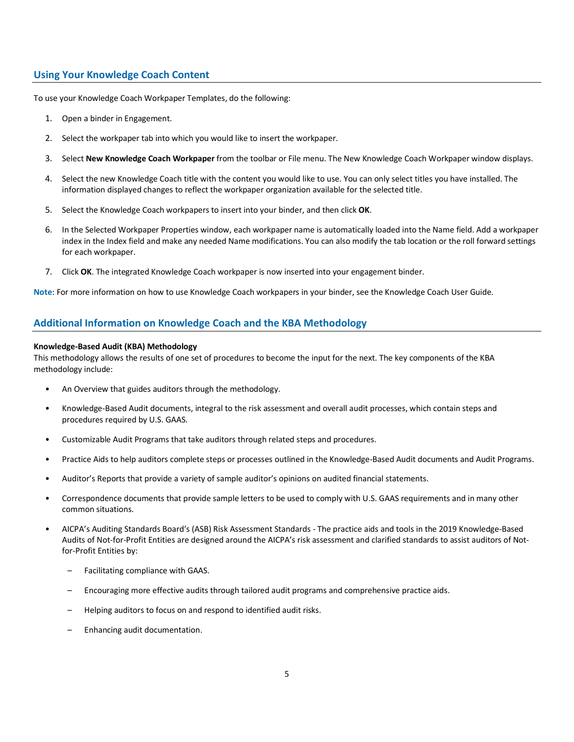# **Using Your Knowledge Coach Content**

To use your Knowledge Coach Workpaper Templates, do the following:

- 1. Open a binder in Engagement.
- 2. Select the workpaper tab into which you would like to insert the workpaper.
- 3. Select **New Knowledge Coach Workpaper** from the toolbar or File menu. The New Knowledge Coach Workpaper window displays.
- 4. Select the new Knowledge Coach title with the content you would like to use. You can only select titles you have installed. The information displayed changes to reflect the workpaper organization available for the selected title.
- 5. Select the Knowledge Coach workpapers to insert into your binder, and then click **OK**.
- 6. In the Selected Workpaper Properties window, each workpaper name is automatically loaded into the Name field. Add a workpaper index in the Index field and make any needed Name modifications. You can also modify the tab location or the roll forward settings for each workpaper.
- 7. Click **OK**. The integrated Knowledge Coach workpaper is now inserted into your engagement binder.

**Note**: For more information on how to use Knowledge Coach workpapers in your binder, see the Knowledge Coach User Guide.

# **Additional Information on Knowledge Coach and the KBA Methodology**

#### **Knowledge-Based Audit (KBA) Methodology**

This methodology allows the results of one set of procedures to become the input for the next. The key components of the KBA methodology include:

- An Overview that guides auditors through the methodology.
- Knowledge-Based Audit documents, integral to the risk assessment and overall audit processes, which contain steps and procedures required by U.S. GAAS.
- Customizable Audit Programs that take auditors through related steps and procedures.
- Practice Aids to help auditors complete steps or processes outlined in the Knowledge-Based Audit documents and Audit Programs.
- Auditor's Reports that provide a variety of sample auditor's opinions on audited financial statements.
- Correspondence documents that provide sample letters to be used to comply with U.S. GAAS requirements and in many other common situations.
- AICPA's Auditing Standards Board's (ASB) Risk Assessment Standards The practice aids and tools in the 2019 Knowledge-Based Audits of Not-for-Profit Entities are designed around the AICPA's risk assessment and clarified standards to assist auditors of Notfor-Profit Entities by:
	- Facilitating compliance with GAAS.
	- Encouraging more effective audits through tailored audit programs and comprehensive practice aids.
	- Helping auditors to focus on and respond to identified audit risks.
	- Enhancing audit documentation.